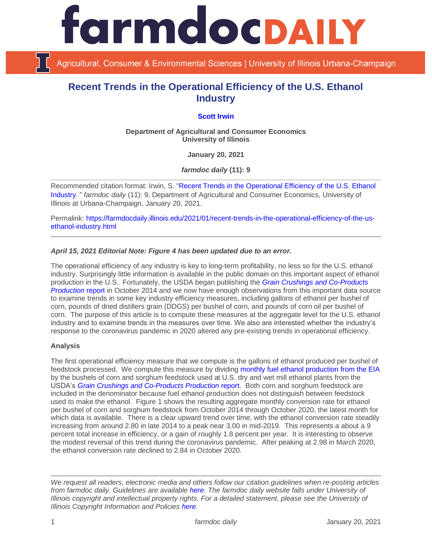

Agricultural, Consumer & Environmental Sciences | University of Illinois Urbana-Champaign

# **Recent Trends in the Operational Efficiency of the U.S. Ethanol Industry**

# **[Scott Irwin](http://www.farmdoc.illinois.edu/irwin/)**

**Department of Agricultural and Consumer Economics University of Illinois**

**January 20, 2021**

*farmdoc daily* **(11): 9**

Recommended citation format: Irwin, S. ["Recent Trends in the Operational Efficiency of the U.S. Ethanol](https://farmdocdaily.illinois.edu/2021/01/recent-trends-in-the-operational-efficiency-of-the-us-ethanol-industry.html)  [Industry](https://farmdocdaily.illinois.edu/2021/01/recent-trends-in-the-operational-efficiency-of-the-us-ethanol-industry.html)." *farmdoc daily* (11): 9, Department of Agricultural and Consumer Economics, University of Illinois at Urbana-Champaign, January 20, 2021.

Permalink: [https://farmdocdaily.illinois.edu/2021/01/recent-trends-in-the-operational-efficiency-of-the-us](https://farmdocdaily.illinois.edu/2021/01/recent-trends-in-the-operational-efficiency-of-the-us-ethanol-industry.html)[ethanol-industry.html](https://farmdocdaily.illinois.edu/2021/01/recent-trends-in-the-operational-efficiency-of-the-us-ethanol-industry.html)

## *April 15, 2021 Editorial Note: Figure 4 has been updated due to an error.*

The operational efficiency of any industry is key to long-term profitability, no less so for the U.S. ethanol industry. Surprisingly little information is available in the public domain on this important aspect of ethanol production in the U.S. Fortunately, the USDA began publishing the *[Grain Crushings and Co-Products](https://usda.library.cornell.edu/concern/publications/n583xt96p)  [Production](https://usda.library.cornell.edu/concern/publications/n583xt96p)* report in October 2014 and we now have enough observations from this important data source to examine trends in some key industry efficiency measures, including gallons of ethanol per bushel of corn, pounds of dried distillers grain (DDGS) per bushel of corn, and pounds of corn oil per bushel of corn. The purpose of this article is to compute these measures at the aggregate level for the U.S. ethanol industry and to examine trends in the measures over time. We also are interested whether the industry's response to the coronavirus pandemic in 2020 altered any pre-existing trends in operational efficiency.

#### **Analysis**

The first operational efficiency measure that we compute is the gallons of ethanol produced per bushel of feedstock processed. We compute this measure by dividing [monthly fuel ethanol production from the EIA](https://www.eia.gov/dnav/pet/hist/LeafHandler.ashx?n=pet&s=m_epooxe_yop_nus_1&f=m) by the bushels of corn and sorghum feedstock used at U.S. dry and wet mill ethanol plants from the USDA's *[Grain Crushings and Co-Products Production](https://usda.library.cornell.edu/concern/publications/n583xt96p)* report. Both corn and sorghum feedstock are included in the denominator because fuel ethanol production does not distinguish between feedstock used to make the ethanol. Figure 1 shows the resulting aggregate monthly conversion rate for ethanol per bushel of corn and sorghum feedstock from October 2014 through October 2020, the latest month for which data is available. There is a clear upward trend over time, with the ethanol conversion rate steadily increasing from around 2.80 in late 2014 to a peak near 3.00 in mid-2019. This represents a about a 9 percent total increase in efficiency, or a gain of roughly 1.8 percent per year. It is interesting to observe the modest reversal of this trend during the coronavirus pandemic. After peaking at 2.98 in March 2020, the ethanol conversion rate declined to 2.84 in October 2020.

*We request all readers, electronic media and others follow our citation guidelines when re-posting articles from farmdoc daily. Guidelines are available [here.](http://farmdocdaily.illinois.edu/citationguide.html) The farmdoc daily website falls under University of Illinois copyright and intellectual property rights. For a detailed statement, please see the University of Illinois Copyright Information and Policies [here.](http://www.cio.illinois.edu/policies/copyright/)*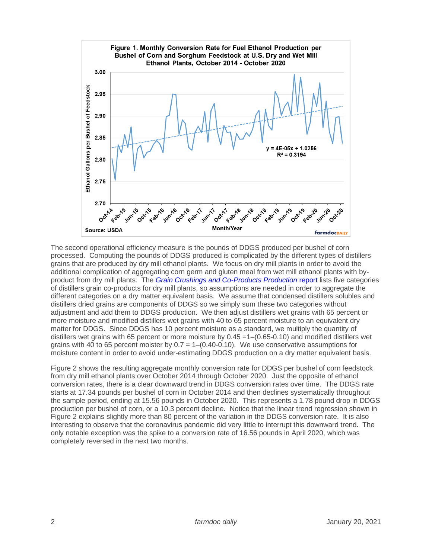

The second operational efficiency measure is the pounds of DDGS produced per bushel of corn processed. Computing the pounds of DDGS produced is complicated by the different types of distillers grains that are produced by dry mill ethanol plants. We focus on dry mill plants in order to avoid the additional complication of aggregating corn germ and gluten meal from wet mill ethanol plants with byproduct from dry mill plants. The *[Grain Crushings and Co-Products Production](https://usda.library.cornell.edu/concern/publications/n583xt96p)* report lists five categories of distillers grain co-products for dry mill plants, so assumptions are needed in order to aggregate the different categories on a dry matter equivalent basis. We assume that condensed distillers solubles and distillers dried grains are components of DDGS so we simply sum these two categories without adjustment and add them to DDGS production. We then adjust distillers wet grains with 65 percent or more moisture and modified distillers wet grains with 40 to 65 percent moisture to an equivalent dry matter for DDGS. Since DDGS has 10 percent moisture as a standard, we multiply the quantity of distillers wet grains with 65 percent or more moisture by  $0.45 = 1 - (0.65 - 0.10)$  and modified distillers wet grains with 40 to 65 percent moister by  $0.7 = 1-(0.40-0.10)$ . We use conservative assumptions for moisture content in order to avoid under-estimating DDGS production on a dry matter equivalent basis.

Figure 2 shows the resulting aggregate monthly conversion rate for DDGS per bushel of corn feedstock from dry mill ethanol plants over October 2014 through October 2020. Just the opposite of ethanol conversion rates, there is a clear downward trend in DDGS conversion rates over time. The DDGS rate starts at 17.34 pounds per bushel of corn in October 2014 and then declines systematically throughout the sample period, ending at 15.56 pounds in October 2020. This represents a 1.78 pound drop in DDGS production per bushel of corn, or a 10.3 percent decline. Notice that the linear trend regression shown in Figure 2 explains slightly more than 80 percent of the variation in the DDGS conversion rate. It is also interesting to observe that the coronavirus pandemic did very little to interrupt this downward trend. The only notable exception was the spike to a conversion rate of 16.56 pounds in April 2020, which was completely reversed in the next two months.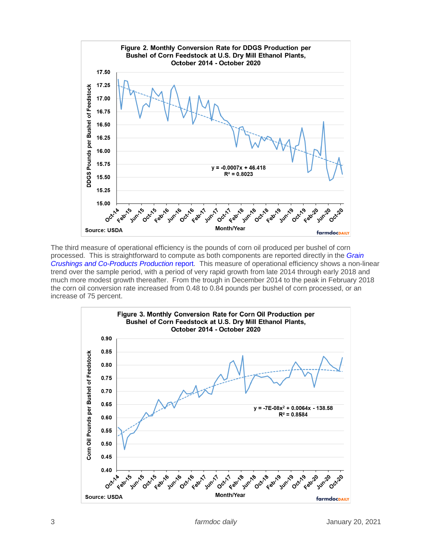

The third measure of operational efficiency is the pounds of corn oil produced per bushel of corn processed. This is straightforward to compute as both components are reported directly in the *[Grain](https://usda.library.cornell.edu/concern/publications/n583xt96p)  [Crushings and Co-Products Production](https://usda.library.cornell.edu/concern/publications/n583xt96p)* report. This measure of operational efficiency shows a non-linear trend over the sample period, with a period of very rapid growth from late 2014 through early 2018 and much more modest growth thereafter. From the trough in December 2014 to the peak in February 2018 the corn oil conversion rate increased from 0.48 to 0.84 pounds per bushel of corn processed, or an increase of 75 percent.

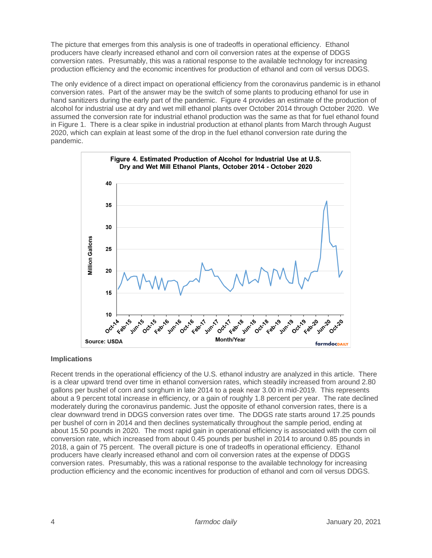The picture that emerges from this analysis is one of tradeoffs in operational efficiency. Ethanol producers have clearly increased ethanol and corn oil conversion rates at the expense of DDGS conversion rates. Presumably, this was a rational response to the available technology for increasing production efficiency and the economic incentives for production of ethanol and corn oil versus DDGS.

The only evidence of a direct impact on operational efficiency from the coronavirus pandemic is in ethanol conversion rates. Part of the answer may be the switch of some plants to producing ethanol for use in hand sanitizers during the early part of the pandemic. Figure 4 provides an estimate of the production of alcohol for industrial use at dry and wet mill ethanol plants over October 2014 through October 2020. We assumed the conversion rate for industrial ethanol production was the same as that for fuel ethanol found in Figure 1. There is a clear spike in industrial production at ethanol plants from March through August 2020, which can explain at least some of the drop in the fuel ethanol conversion rate during the pandemic.



# **Implications**

Recent trends in the operational efficiency of the U.S. ethanol industry are analyzed in this article. There is a clear upward trend over time in ethanol conversion rates, which steadily increased from around 2.80 gallons per bushel of corn and sorghum in late 2014 to a peak near 3.00 in mid-2019. This represents about a 9 percent total increase in efficiency, or a gain of roughly 1.8 percent per year. The rate declined moderately during the coronavirus pandemic. Just the opposite of ethanol conversion rates, there is a clear downward trend in DDGS conversion rates over time. The DDGS rate starts around 17.25 pounds per bushel of corn in 2014 and then declines systematically throughout the sample period, ending at about 15.50 pounds in 2020. The most rapid gain in operational efficiency is associated with the corn oil conversion rate, which increased from about 0.45 pounds per bushel in 2014 to around 0.85 pounds in 2018, a gain of 75 percent. The overall picture is one of tradeoffs in operational efficiency. Ethanol producers have clearly increased ethanol and corn oil conversion rates at the expense of DDGS conversion rates. Presumably, this was a rational response to the available technology for increasing production efficiency and the economic incentives for production of ethanol and corn oil versus DDGS.